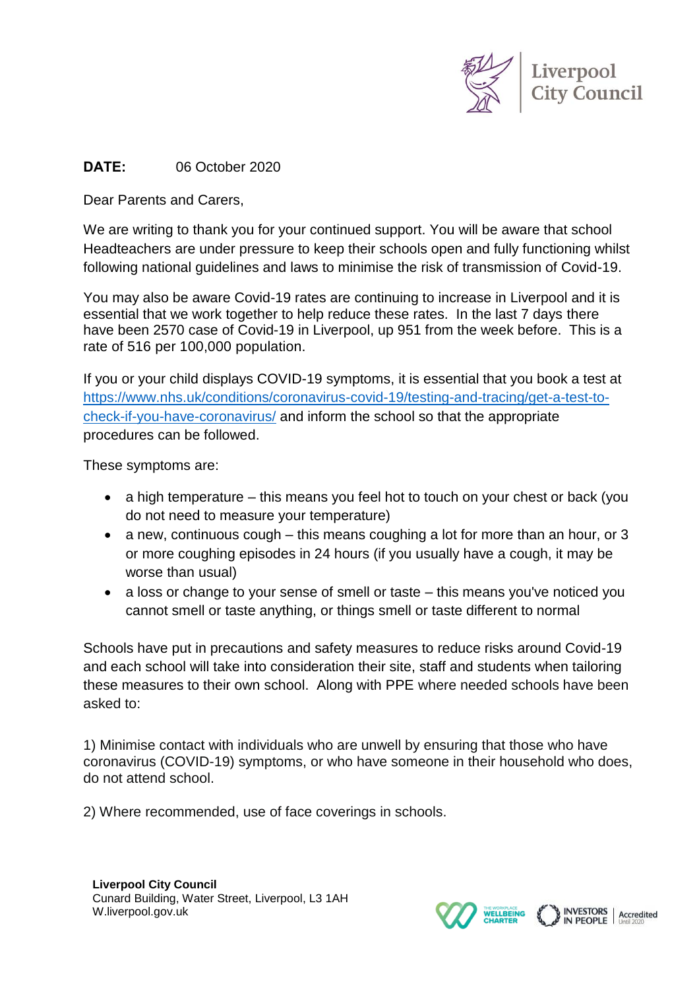

## **DATE:** 06 October 2020

Dear Parents and Carers,

We are writing to thank you for your continued support. You will be aware that school Headteachers are under pressure to keep their schools open and fully functioning whilst following national guidelines and laws to minimise the risk of transmission of Covid-19.

You may also be aware Covid-19 rates are continuing to increase in Liverpool and it is essential that we work together to help reduce these rates. In the last 7 days there have been 2570 case of Covid-19 in Liverpool, up 951 from the week before. This is a rate of 516 per 100,000 population.

If you or your child displays COVID-19 symptoms, it is essential that you book a test at [https://www.nhs.uk/conditions/coronavirus-covid-19/testing-and-tracing/get-a-test-to](https://www.nhs.uk/conditions/coronavirus-covid-19/testing-and-tracing/get-a-test-to-check-if-you-have-coronavirus/)[check-if-you-have-coronavirus/](https://www.nhs.uk/conditions/coronavirus-covid-19/testing-and-tracing/get-a-test-to-check-if-you-have-coronavirus/) and inform the school so that the appropriate procedures can be followed.

These symptoms are:

- a high temperature this means you feel hot to touch on your chest or back (you do not need to measure your temperature)
- a new, continuous cough  $-$  this means coughing a lot for more than an hour, or 3 or more coughing episodes in 24 hours (if you usually have a cough, it may be worse than usual)
- a loss or change to your sense of smell or taste this means you've noticed you cannot smell or taste anything, or things smell or taste different to normal

Schools have put in precautions and safety measures to reduce risks around Covid-19 and each school will take into consideration their site, staff and students when tailoring these measures to their own school. Along with PPE where needed schools have been asked to:

1) Minimise contact with individuals who are unwell by ensuring that those who have coronavirus (COVID-19) symptoms, or who have someone in their household who does, do not attend school.

2) Where recommended, use of face coverings in schools.

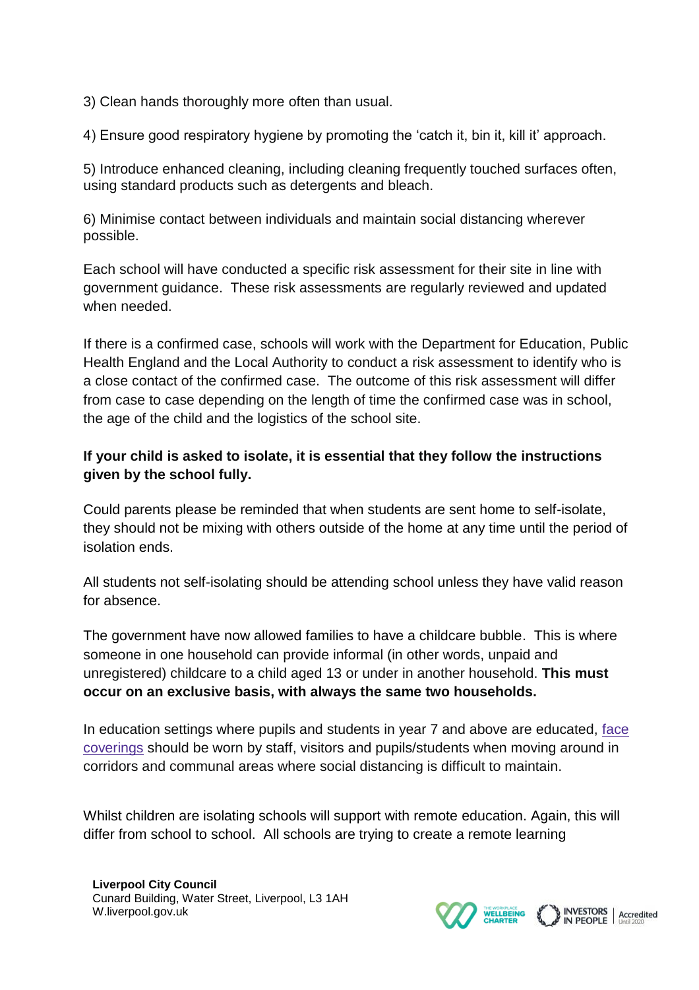3) Clean hands thoroughly more often than usual.

4) Ensure good respiratory hygiene by promoting the 'catch it, bin it, kill it' approach.

5) Introduce enhanced cleaning, including cleaning frequently touched surfaces often, using standard products such as detergents and bleach.

6) Minimise contact between individuals and maintain social distancing wherever possible.

Each school will have conducted a specific risk assessment for their site in line with government guidance. These risk assessments are regularly reviewed and updated when needed.

If there is a confirmed case, schools will work with the Department for Education, Public Health England and the Local Authority to conduct a risk assessment to identify who is a close contact of the confirmed case. The outcome of this risk assessment will differ from case to case depending on the length of time the confirmed case was in school, the age of the child and the logistics of the school site.

## **If your child is asked to isolate, it is essential that they follow the instructions given by the school fully.**

Could parents please be reminded that when students are sent home to self-isolate, they should not be mixing with others outside of the home at any time until the period of isolation ends.

All students not self-isolating should be attending school unless they have valid reason for absence.

The government have now allowed families to have a childcare bubble. This is where someone in one household can provide informal (in other words, unpaid and unregistered) childcare to a child aged 13 or under in another household. **This must occur on an exclusive basis, with always the same two households.**

In education settings where pupils and students in year 7 and above are educated, [face](https://www.gov.uk/government/publications/face-coverings-in-education) [coverings](https://www.gov.uk/government/publications/face-coverings-in-education) should be worn by staff, visitors and pupils/students when moving around in corridors and communal areas where social distancing is difficult to maintain.

Whilst children are isolating schools will support with remote education. Again, this will differ from school to school. All schools are trying to create a remote learning